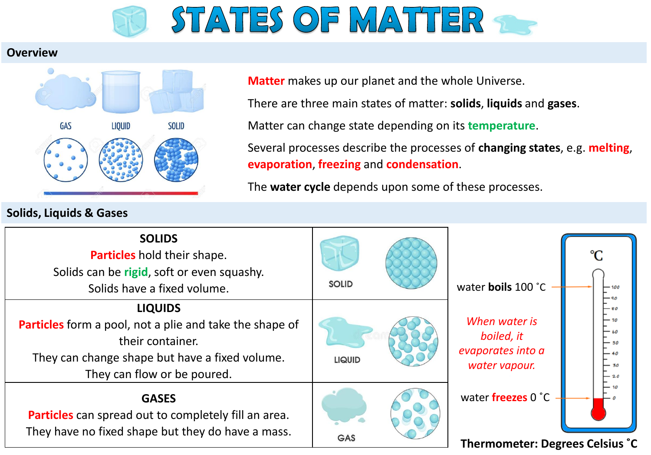

## **Overview**



## **Matter** makes up our planet and the whole Universe.

There are three main states of matter: **solids**, **liquids** and **gases**.

Matter can change state depending on its **temperature**.

Several processes describe the processes of **changing states**, e.g. **melting**, **evaporation**, **freezing** and **condensation**.

The **water cycle** depends upon some of these processes.

| <b>SOLIDS</b><br>Particles hold their shape.<br>Solids can be rigid, soft or even squashy.<br>Solids have a fixed volume.                                                      | <b>SOLID</b>  | water boils 100 °C<br>- 100                                       |
|--------------------------------------------------------------------------------------------------------------------------------------------------------------------------------|---------------|-------------------------------------------------------------------|
| <b>LIQUIDS</b><br>Particles form a pool, not a plie and take the shape of<br>their container.<br>They can change shape but have a fixed volume.<br>They can flow or be poured. | <b>LIQUID</b> | When water is<br>boiled, it<br>evaporates into a<br>water vapour. |
| <b>GASES</b><br>Particles can spread out to completely fill an area.<br>They have no fixed shape but they do have a mass.                                                      | <b>GAS</b>    | water freezes 0 °C<br>Thermometer: Degrees Celsius °C             |